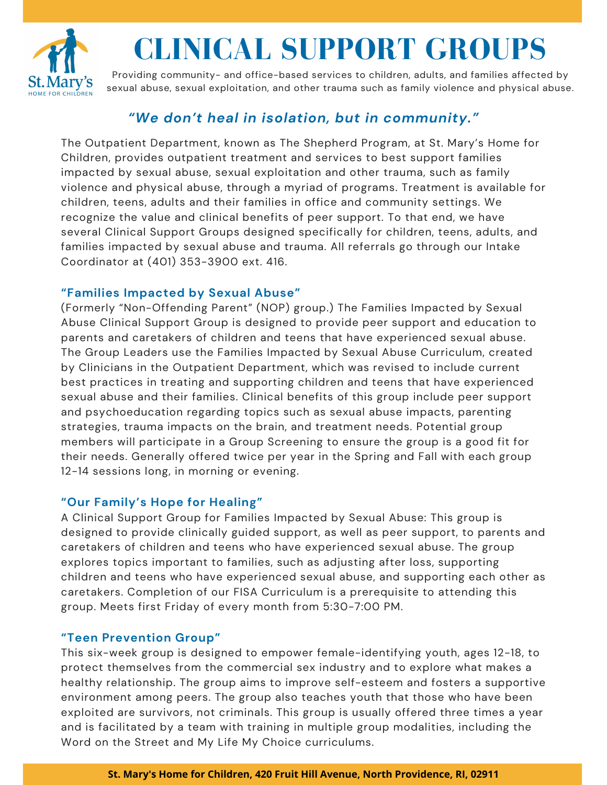

# **CLINICAL SUPPORT GROUPS**

Providing community- and office-based services to children, adults, and families affected by sexual abuse, sexual exploitation, and other trauma such as family violence and physical abuse.

## *"We don't heal in isolation, but in community."*

The Outpatient Department, known as The Shepherd Program, at St. Mary's Home for Children, provides outpatient treatment and services to best support families impacted by sexual abuse, sexual exploitation and other trauma, such as family violence and physical abuse, through a myriad of programs. Treatment is available for children, teens, adults and their families in office and community settings. We recognize the value and clinical benefits of peer support. To that end, we have several Clinical Support Groups designed specifically for children, teens, adults, and families impacted by sexual abuse and trauma. All referrals go through our Intake Coordinator at (401) 353-3900 ext. 416.

#### **"Families Impacted by Sexual Abuse"**

(Formerly "Non-Offending Parent" (NOP) group.) The Families Impacted by Sexual Abuse Clinical Support Group is designed to provide peer support and education to parents and caretakers of children and teens that have experienced sexual abuse. The Group Leaders use the Families Impacted by Sexual Abuse Curriculum, created by Clinicians in the Outpatient Department, which was revised to include current best practices in treating and supporting children and teens that have experienced sexual abuse and their families. Clinical benefits of this group include peer support and psychoeducation regarding topics such as sexual abuse impacts, parenting strategies, trauma impacts on the brain, and treatment needs. Potential group members will participate in a Group Screening to ensure the group is a good fit for their needs. Generally offered twice per year in the Spring and Fall with each group 12-14 sessions long, in morning or evening.

### **"Our Family's Hope for Healing"**

A Clinical Support Group for Families Impacted by Sexual Abuse: This group is designed to provide clinically guided support, as well as peer support, to parents and caretakers of children and teens who have experienced sexual abuse. The group explores topics important to families, such as adjusting after loss, supporting children and teens who have experienced sexual abuse, and supporting each other as caretakers. Completion of our FISA Curriculum is a prerequisite to attending this group. Meets first Friday of every month from 5:30-7:00 PM.

#### **"Teen Prevention Group"**

This six-week group is designed to empower female-identifying youth, ages 12-18, to protect themselves from the commercial sex industry and to explore what makes a healthy relationship. The group aims to improve self-esteem and fosters a supportive environment among peers. The group also teaches youth that those who have been exploited are survivors, not criminals. This group is usually offered three times a year and is facilitated by a team with training in multiple group modalities, including the Word on the Street and My Life My Choice curriculums.